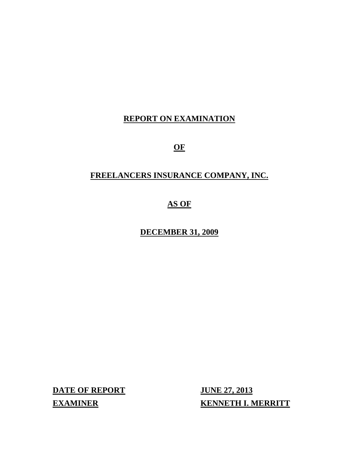# **REPORT ON EXAMINATION**

**OF** 

# **FREELANCERS INSURANCE COMPANY, INC.**

# **AS OF**

**DECEMBER 31, 2009** 

**DATE OF REPORT JUNE 27, 2013** 

**EXAMINER KENNETH I. MERRITT**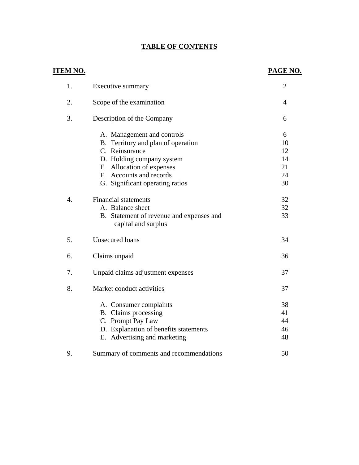# **TABLE OF CONTENTS**

| <u>ITEM NO.</u>  |                                                                                                                                                                                                           | PAGE NO.                              |
|------------------|-----------------------------------------------------------------------------------------------------------------------------------------------------------------------------------------------------------|---------------------------------------|
| 1.               | Executive summary                                                                                                                                                                                         | $\overline{2}$                        |
| 2.               | Scope of the examination                                                                                                                                                                                  | $\overline{4}$                        |
| 3.               | Description of the Company                                                                                                                                                                                | 6                                     |
|                  | A. Management and controls<br>B. Territory and plan of operation<br>C. Reinsurance<br>D. Holding company system<br>E Allocation of expenses<br>F. Accounts and records<br>G. Significant operating ratios | 6<br>10<br>12<br>14<br>21<br>24<br>30 |
| $\overline{4}$ . | <b>Financial statements</b><br>A. Balance sheet<br>B. Statement of revenue and expenses and<br>capital and surplus                                                                                        | 32<br>32<br>33                        |
| 5.               | <b>Unsecured loans</b>                                                                                                                                                                                    | 34                                    |
| 6.               | Claims unpaid                                                                                                                                                                                             | 36                                    |
| 7.               | Unpaid claims adjustment expenses                                                                                                                                                                         | 37                                    |
| 8.               | Market conduct activities                                                                                                                                                                                 | 37                                    |
|                  | A. Consumer complaints<br>B. Claims processing<br>C. Prompt Pay Law<br>D. Explanation of benefits statements<br>E. Advertising and marketing                                                              | 38<br>41<br>44<br>46<br>48            |
| 9.               | Summary of comments and recommendations                                                                                                                                                                   | 50                                    |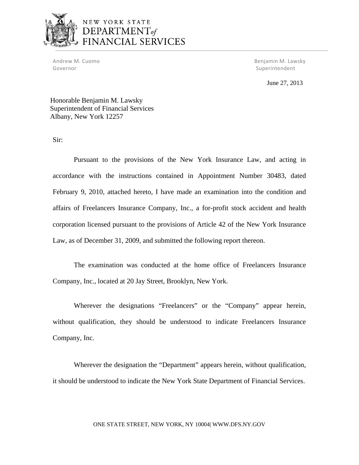

# NEW YORK STATE DEPARTMENT<sub>of</sub> FINANCIAL SERVICES

Andrew M. Cuomo Governor

M. Cuomo **M. Lawsky M. Cuomo** *M. Lawsky* **M. Lawsky M. Lawsky M. Lawsky M. Lawsky** Superintendent

June 27, 2013

Honorable Benjamin M. Lawsky Superintendent of Financial Services Albany, New York 12257

Sir:

Pursuant to the provisions of the New York Insurance Law, and acting in accordance with the instructions contained in Appointment Number 30483, dated February 9, 2010, attached hereto, I have made an examination into the condition and affairs of Freelancers Insurance Company, Inc., a for-profit stock accident and health corporation licensed pursuant to the provisions of Article 42 of the New York Insurance Law, as of December 31, 2009, and submitted the following report thereon.

The examination was conducted at the home office of Freelancers Insurance Company, Inc., located at 20 Jay Street, Brooklyn, New York.

Wherever the designations "Freelancers" or the "Company" appear herein, without qualification, they should be understood to indicate Freelancers Insurance Company, Inc.

Wherever the designation the "Department" appears herein, without qualification, it should be understood to indicate the New York State Department of Financial Services.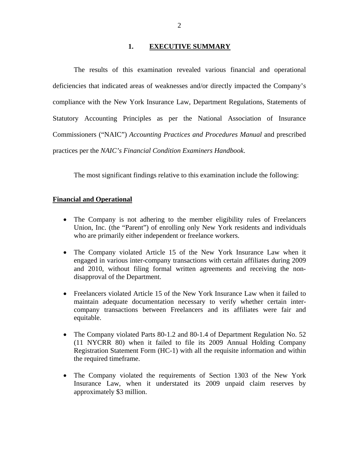#### **1. EXECUTIVE SUMMARY**

The results of this examination revealed various financial and operational deficiencies that indicated areas of weaknesses and/or directly impacted the Company's compliance with the New York Insurance Law, Department Regulations, Statements of Statutory Accounting Principles as per the National Association of Insurance Commissioners ("NAIC") *Accounting Practices and Procedures Manual* and prescribed practices per the *NAIC's Financial Condition Examiners Handbook*.

The most significant findings relative to this examination include the following:

#### **Financial and Operational**

- The Company is not adhering to the member eligibility rules of Freelancers Union, Inc. (the "Parent") of enrolling only New York residents and individuals who are primarily either independent or freelance workers.
- The Company violated Article 15 of the New York Insurance Law when it engaged in various inter-company transactions with certain affiliates during 2009 and 2010, without filing formal written agreements and receiving the nondisapproval of the Department.
- Freelancers violated Article 15 of the New York Insurance Law when it failed to maintain adequate documentation necessary to verify whether certain intercompany transactions between Freelancers and its affiliates were fair and equitable.
- The Company violated Parts 80-1.2 and 80-1.4 of Department Regulation No. 52 (11 NYCRR 80) when it failed to file its 2009 Annual Holding Company Registration Statement Form (HC-1) with all the requisite information and within the required timeframe.
- The Company violated the requirements of Section 1303 of the New York Insurance Law, when it understated its 2009 unpaid claim reserves by approximately \$3 million.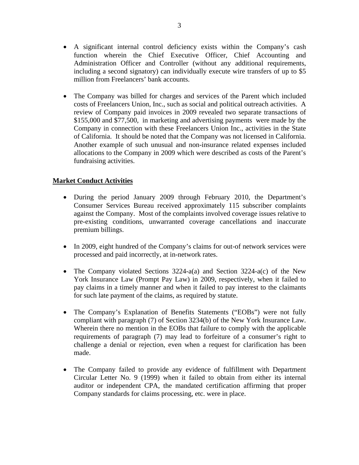- A significant internal control deficiency exists within the Company's cash function wherein the Chief Executive Officer, Chief Accounting and Administration Officer and Controller (without any additional requirements, including a second signatory) can individually execute wire transfers of up to \$5 million from Freelancers' bank accounts.
- The Company was billed for charges and services of the Parent which included costs of Freelancers Union, Inc., such as social and political outreach activities. A review of Company paid invoices in 2009 revealed two separate transactions of \$155,000 and \$77,500, in marketing and advertising payments were made by the Company in connection with these Freelancers Union Inc., activities in the State of California. It should be noted that the Company was not licensed in California. Another example of such unusual and non-insurance related expenses included allocations to the Company in 2009 which were described as costs of the Parent's fundraising activities.

## **Market Conduct Activities**

- During the period January 2009 through February 2010, the Department's Consumer Services Bureau received approximately 115 subscriber complaints against the Company. Most of the complaints involved coverage issues relative to pre-existing conditions, unwarranted coverage cancellations and inaccurate premium billings.
- In 2009, eight hundred of the Company's claims for out-of network services were processed and paid incorrectly, at in-network rates.
- The Company violated Sections 3224-a(a) and Section 3224-a(c) of the New York Insurance Law (Prompt Pay Law) in 2009, respectively, when it failed to pay claims in a timely manner and when it failed to pay interest to the claimants for such late payment of the claims, as required by statute.
- The Company's Explanation of Benefits Statements ("EOBs") were not fully compliant with paragraph (7) of Section 3234(b) of the New York Insurance Law. Wherein there no mention in the EOBs that failure to comply with the applicable requirements of paragraph (7) may lead to forfeiture of a consumer's right to challenge a denial or rejection, even when a request for clarification has been made.
- The Company failed to provide any evidence of fulfillment with Department Circular Letter No. 9 (1999) when it failed to obtain from either its internal auditor or independent CPA, the mandated certification affirming that proper Company standards for claims processing, etc. were in place.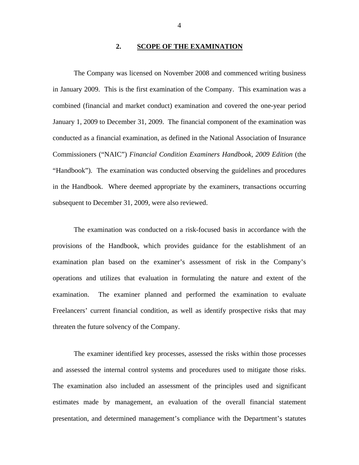#### **2. SCOPE OF THE EXAMINATION**

The Company was licensed on November 2008 and commenced writing business in January 2009. This is the first examination of the Company. This examination was a combined (financial and market conduct) examination and covered the one-year period January 1, 2009 to December 31, 2009. The financial component of the examination was conducted as a financial examination, as defined in the National Association of Insurance Commissioners ("NAIC") *Financial Condition Examiners Handbook, 2009 Edition* (the "Handbook"). The examination was conducted observing the guidelines and procedures in the Handbook. Where deemed appropriate by the examiners, transactions occurring subsequent to December 31, 2009, were also reviewed.

The examination was conducted on a risk-focused basis in accordance with the provisions of the Handbook, which provides guidance for the establishment of an examination plan based on the examiner's assessment of risk in the Company's operations and utilizes that evaluation in formulating the nature and extent of the examination. The examiner planned and performed the examination to evaluate Freelancers' current financial condition, as well as identify prospective risks that may threaten the future solvency of the Company.

The examiner identified key processes, assessed the risks within those processes and assessed the internal control systems and procedures used to mitigate those risks. The examination also included an assessment of the principles used and significant estimates made by management, an evaluation of the overall financial statement presentation, and determined management's compliance with the Department's statutes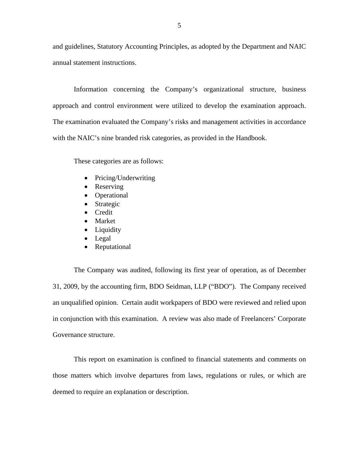and guidelines, Statutory Accounting Principles, as adopted by the Department and NAIC annual statement instructions.

Information concerning the Company's organizational structure, business approach and control environment were utilized to develop the examination approach. The examination evaluated the Company's risks and management activities in accordance with the NAIC's nine branded risk categories, as provided in the Handbook.

These categories are as follows:

- Pricing/Underwriting
- Reserving
- Operational
- Strategic
- Credit
- Market
- Liquidity
- Legal
- Reputational

The Company was audited, following its first year of operation, as of December 31, 2009, by the accounting firm, BDO Seidman, LLP ("BDO"). The Company received an unqualified opinion. Certain audit workpapers of BDO were reviewed and relied upon in conjunction with this examination. A review was also made of Freelancers' Corporate Governance structure.

This report on examination is confined to financial statements and comments on those matters which involve departures from laws, regulations or rules, or which are deemed to require an explanation or description.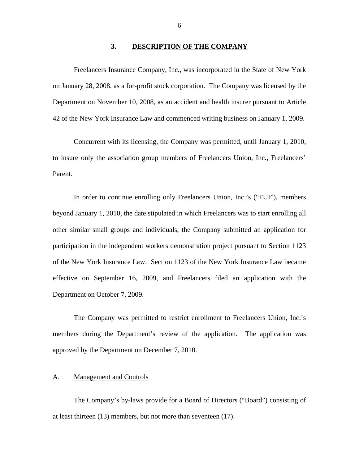#### **3. DESCRIPTION OF THE COMPANY**

<span id="page-7-0"></span>Freelancers Insurance Company, Inc., was incorporated in the State of New York on January 28, 2008, as a for-profit stock corporation. The Company was licensed by the Department on November 10, 2008, as an accident and health insurer pursuant to Article 42 of the New York Insurance Law and commenced writing business on January 1, 2009.

Concurrent with its licensing, the Company was permitted, until January 1, 2010, to insure only the association group members of Freelancers Union, Inc., Freelancers' Parent.

In order to continue enrolling only Freelancers Union, Inc.'s ("FUI"), members beyond January 1, 2010, the date stipulated in which Freelancers was to start enrolling all other similar small groups and individuals, the Company submitted an application for participation in the independent workers demonstration project pursuant to Section 1123 of the New York Insurance Law. Section 1123 of the New York Insurance Law became effective on September 16, 2009, and Freelancers filed an application with the Department on October 7, 2009.

The Company was permitted to restrict enrollment to Freelancers Union, Inc.'s members during the Department's review of the application. The application was approved by the Department on December 7, 2010.

#### A. Management and Controls

The Company's by-laws provide for a Board of Directors ("Board") consisting of at least thirteen (13) members, but not more than seventeen (17).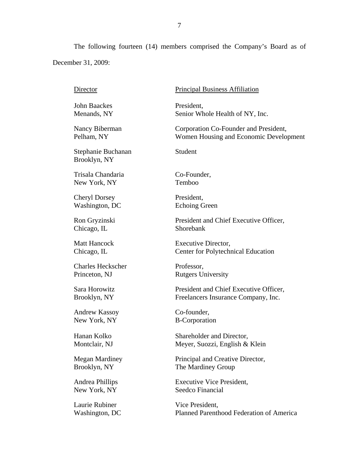The following fourteen (14) members comprised the Company's Board as of December 31, 2009:

Director John Baackes Menands, NY Nancy Biberman Pelham, NY Stephanie Buchanan Brooklyn, NY Trisala Chandaria New York, NY Cheryl Dorsey Washington, DC Ron Gryzinski Chicago, IL Matt Hancock Chicago, IL Charles Heckscher Princeton, NJ Sara Horowitz Brooklyn, NY Andrew Kassoy New York, NY Hanan Kolko Montclair, NJ Megan Mardiney Brooklyn, NY Andrea Phillips New York, NY Laurie Rubiner Washington, DC Principal Business Affiliation President, Senior Whole Health of NY, Inc. Corporation Co-Founder and President, Women Housing and Economic Development Student Co-Founder, Temboo President, Echoing Green President and Chief Executive Officer, Shorebank Executive Director, Center for Polytechnical Education Professor, Rutgers University President and Chief Executive Officer, Freelancers Insurance Company, Inc. Co-founder, B-Corporation Shareholder and Director, Meyer, Suozzi, English & Klein Principal and Creative Director, The Mardiney Group Executive Vice President, Seedco Financial Vice President, Planned Parenthood Federation of America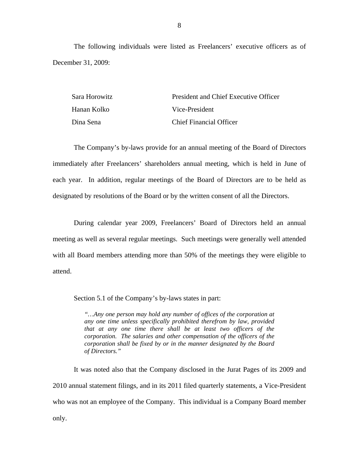The following individuals were listed as Freelancers' executive officers as of December 31, 2009:

| Sara Horowitz | President and Chief Executive Officer |  |  |
|---------------|---------------------------------------|--|--|
| Hanan Kolko   | Vice-President                        |  |  |
| Dina Sena     | <b>Chief Financial Officer</b>        |  |  |

The Company's by-laws provide for an annual meeting of the Board of Directors immediately after Freelancers' shareholders annual meeting, which is held in June of each year. In addition, regular meetings of the Board of Directors are to be held as designated by resolutions of the Board or by the written consent of all the Directors.

During calendar year 2009, Freelancers' Board of Directors held an annual meeting as well as several regular meetings. Such meetings were generally well attended with all Board members attending more than 50% of the meetings they were eligible to attend.

Section 5.1 of the Company's by-laws states in part:

*"…Any one person may hold any number of offices of the corporation at any one time unless specifically prohibited therefrom by law, provided that at any one time there shall be at least two officers of the corporation. The salaries and other compensation of the officers of the corporation shall be fixed by or in the manner designated by the Board of Directors."* 

It was noted also that the Company disclosed in the Jurat Pages of its 2009 and 2010 annual statement filings, and in its 2011 filed quarterly statements, a Vice-President who was not an employee of the Company. This individual is a Company Board member only.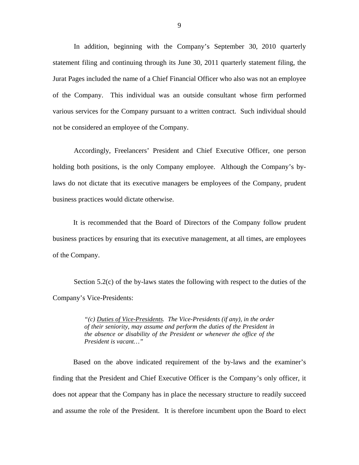In addition, beginning with the Company's September 30, 2010 quarterly statement filing and continuing through its June 30, 2011 quarterly statement filing, the Jurat Pages included the name of a Chief Financial Officer who also was not an employee of the Company. This individual was an outside consultant whose firm performed various services for the Company pursuant to a written contract. Such individual should not be considered an employee of the Company.

Accordingly, Freelancers' President and Chief Executive Officer, one person holding both positions, is the only Company employee. Although the Company's bylaws do not dictate that its executive managers be employees of the Company, prudent business practices would dictate otherwise.

It is recommended that the Board of Directors of the Company follow prudent business practices by ensuring that its executive management, at all times, are employees of the Company.

Section 5.2(c) of the by-laws states the following with respect to the duties of the Company's Vice-Presidents:

> *"(c) Duties of Vice-Presidents. The Vice-Presidents (if any), in the order of their seniority, may assume and perform the duties of the President in the absence or disability of the President or whenever the office of the President is vacant…"*

Based on the above indicated requirement of the by-laws and the examiner's finding that the President and Chief Executive Officer is the Company's only officer, it does not appear that the Company has in place the necessary structure to readily succeed and assume the role of the President. It is therefore incumbent upon the Board to elect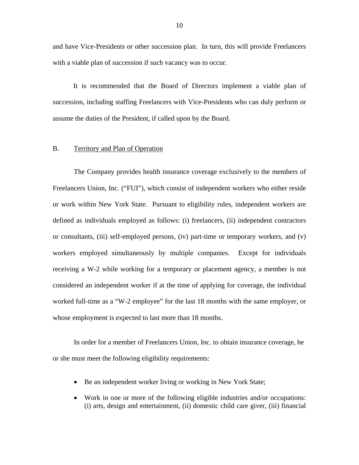<span id="page-11-0"></span>and have Vice-Presidents or other succession plan. In turn, this will provide Freelancers with a viable plan of succession if such vacancy was to occur.

It is recommended that the Board of Directors implement a viable plan of succession, including staffing Freelancers with Vice-Presidents who can duly perform or assume the duties of the President, if called upon by the Board.

## B. Territory and Plan of Operation

The Company provides health insurance coverage exclusively to the members of Freelancers Union, Inc. ("FUI"), which consist of independent workers who either reside or work within New York State. Pursuant to eligibility rules, independent workers are defined as individuals employed as follows: (i) freelancers, (ii) independent contractors or consultants, (iii) self-employed persons, (iv) part-time or temporary workers, and (v) workers employed simultaneously by multiple companies. Except for individuals receiving a W-2 while working for a temporary or placement agency, a member is not considered an independent worker if at the time of applying for coverage, the individual worked full-time as a "W-2 employee" for the last 18 months with the same employer, or whose employment is expected to last more than 18 months.

In order for a member of Freelancers Union, Inc. to obtain insurance coverage, he or she must meet the following eligibility requirements:

- Be an independent worker living or working in New York State;
- Work in one or more of the following eligible industries and/or occupations: (i) arts, design and entertainment, (ii) domestic child care giver, (iii) financial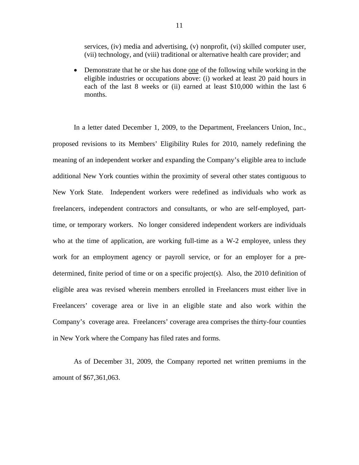services, (iv) media and advertising, (v) nonprofit, (vi) skilled computer user, (vii) technology, and (viii) traditional or alternative health care provider; and

• Demonstrate that he or she has done one of the following while working in the eligible industries or occupations above: (i) worked at least 20 paid hours in each of the last 8 weeks or (ii) earned at least \$10,000 within the last 6 months.

In a letter dated December 1, 2009, to the Department, Freelancers Union, Inc., proposed revisions to its Members' Eligibility Rules for 2010, namely redefining the meaning of an independent worker and expanding the Company's eligible area to include additional New York counties within the proximity of several other states contiguous to New York State. Independent workers were redefined as individuals who work as freelancers, independent contractors and consultants, or who are self-employed, parttime, or temporary workers. No longer considered independent workers are individuals who at the time of application, are working full-time as a W-2 employee, unless they work for an employment agency or payroll service, or for an employer for a predetermined, finite period of time or on a specific project(s). Also, the 2010 definition of eligible area was revised wherein members enrolled in Freelancers must either live in Freelancers' coverage area or live in an eligible state and also work within the Company's coverage area. Freelancers' coverage area comprises the thirty-four counties in New York where the Company has filed rates and forms.

As of December 31, 2009, the Company reported net written premiums in the amount of \$67,361,063.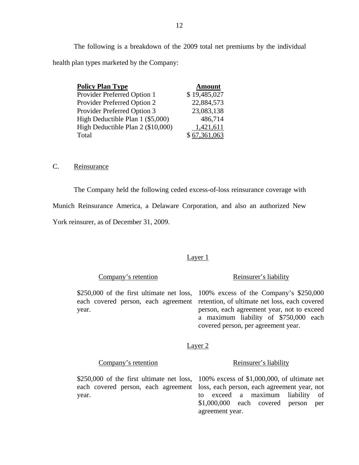<span id="page-13-0"></span>The following is a breakdown of the 2009 total net premiums by the individual health plan types marketed by the Company:

| <b>Policy Plan Type</b>            | <b>Amount</b> |
|------------------------------------|---------------|
| Provider Preferred Option 1        | \$19,485,027  |
| <b>Provider Preferred Option 2</b> | 22,884,573    |
| Provider Preferred Option 3        | 23,083,138    |
| High Deductible Plan 1 (\$5,000)   | 486,714       |
| High Deductible Plan 2 (\$10,000)  | 1,421,611     |
| Total                              | \$67,361,063  |

C. Reinsurance

The Company held the following ceded excess-of-loss reinsurance coverage with

Munich Reinsurance America, a Delaware Corporation, and also an authorized New

York reinsurer, as of December 31, 2009.

#### Layer 1

Company's retention Reinsurer's liability

\$250,000 of the first ultimate net loss, 100% excess of the Company's \$250,000 each covered person, each agreement retention, of ultimate net loss, each covered year. person, each agreement year, not to exceed a maximum liability of \$750,000 each covered person, per agreement year.

#### Layer 2

Company's retention Reinsurer's liability

\$250,000 of the first ultimate net loss, 100% excess of \$1,000,000, of ultimate net

each covered person, each agreement loss, each person, each agreement year, not year. to exceed a maximum liability of \$1,000,000 each covered person per agreement year.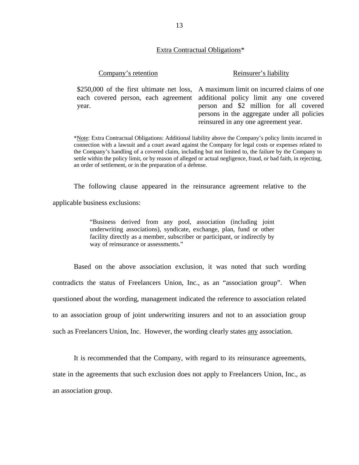#### Extra Contractual Obligations\*

#### Company's retention Reinsurer's liability

\$250,0 00 of the first ultimate net loss, A maximum limit on incurred claims of one each covered person, each agreement additional policy limit any one covered year. person and \$2 million for all covered persons in the aggregate under all policies reinsured in any one agreement year.

 \*Note: Extra Contractual Obligations: Additional liability above the Company's policy limits incurred in settle within the policy limit, or by reason of alleged or actual negligence, fraud, or bad faith, in rejecting, connection with a lawsuit and a court award against the Company for legal costs or expenses related to the Company's handling of a covered claim, including but not limited to, the failure by the Company to an order of settlement, or in the preparation of a defense.

The following clause appeared in the reinsurance agreement relative to the

applicable business exclusions:

"Business derived from any pool, association (including joint underwriting associations), syndicate, exchange, plan, fund or other facility directly as a member, subscriber or participant, or indirectly by way of reinsurance or assessments."

Based on the above association exclusion, it was noted that such wording contradicts the status of Freelancers Union, Inc., as an "association group". When questioned about the wording, management indicated the reference to association related to an association group of joint underwriting insurers and not to an association group such as Freelancers Union, Inc. However, the wording clearly states any association.

It is recommended that the Company, with regard to its reinsurance agreements, state in the agreements that such exclusion does not apply to Freelancers Union, Inc., as an association group.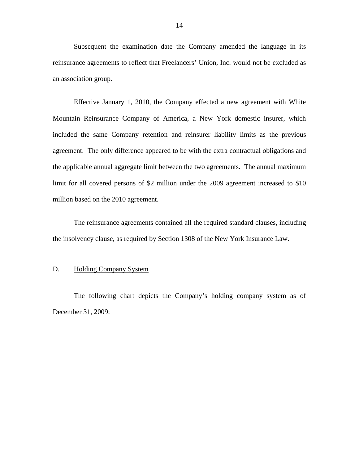<span id="page-15-0"></span>Subsequent the examination date the Company amended the language in its reinsurance agreements to reflect that Freelancers' Union, Inc. would not be excluded as an association group.

Effective January 1, 2010, the Company effected a new agreement with White Mountain Reinsurance Company of America, a New York domestic insurer, which included the same Company retention and reinsurer liability limits as the previous agreement. The only difference appeared to be with the extra contractual obligations and the applicable annual aggregate limit between the two agreements. The annual maximum limit for all covered persons of \$2 million under the 2009 agreement increased to \$10 million based on the 2010 agreement.

The reinsurance agreements contained all the required standard clauses, including the insolvency clause, as required by Section 1308 of the New York Insurance Law.

## D. Holding Company System

The following chart depicts the Company's holding company system as of December 31, 2009: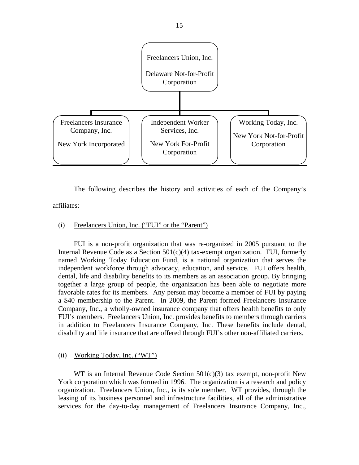

The following describes the history and activities of each of the Company's affiliates:

## (i) Freelancers Union, Inc. ("FUI" or the "Parent")

FUI is a non-profit organization that was re-organized in 2005 pursuant to the Internal Revenue Code as a Section 501(c)(4) tax-exempt organization. FUI, formerly named Working Today Education Fund, is a national organization that serves the independent workforce through advocacy, education, and service. FUI offers health, dental, life and disability benefits to its members as an association group. By bringing together a large group of people, the organization has been able to negotiate more favorable rates for its members. Any person may become a member of FUI by paying a \$40 membership to the Parent. In 2009, the Parent formed Freelancers Insurance Company, Inc., a wholly-owned insurance company that offers health benefits to only FUI's members. Freelancers Union, Inc. provides benefits to members through carriers in addition to Freelancers Insurance Company, Inc. These benefits include dental, disability and life insurance that are offered through FUI's other non-affiliated carriers.

#### (ii) Working Today, Inc. ("WT")

WT is an Internal Revenue Code Section  $501(c)(3)$  tax exempt, non-profit New York corporation which was formed in 1996. The organization is a research and policy organization. Freelancers Union, Inc., is its sole member. WT provides, through the leasing of its business personnel and infrastructure facilities, all of the administrative services for the day-to-day management of Freelancers Insurance Company, Inc.,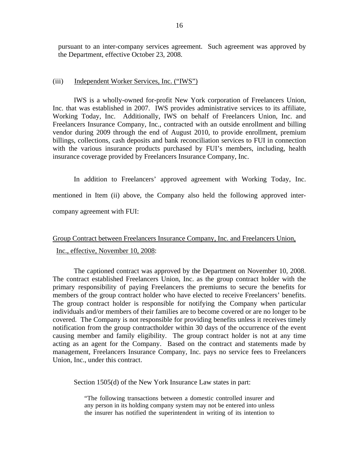pursuant to an inter-company services agreement. Such agreement was approved by the Department, effective October 23, 2008.

#### (iii) Independent Worker Services, Inc. ("IWS")

IWS is a wholly-owned for-profit New York corporation of Freelancers Union, Inc. that was established in 2007. IWS provides administrative services to its affiliate, Working Today, Inc. Additionally, IWS on behalf of Freelancers Union, Inc. and Freelancers Insurance Company, Inc., contracted with an outside enrollment and billing vendor during 2009 through the end of August 2010, to provide enrollment, premium billings, collections, cash deposits and bank reconciliation services to FUI in connection with the various insurance products purchased by FUI's members, including, health insurance coverage provided by Freelancers Insurance Company, Inc.

In addition to Freelancers' approved agreement with Working Today, Inc. mentioned in Item (ii) above, the Company also held the following approved intercompany agreement with FUI:

# Group Contract between Freelancers Insurance Company, Inc. and Freelancers Union, Inc., effective, November 10, 2008:

The captioned contract was approved by the Department on November 10, 2008. The contract established Freelancers Union, Inc. as the group contract holder with the primary responsibility of paying Freelancers the premiums to secure the benefits for members of the group contract holder who have elected to receive Freelancers' benefits. The group contract holder is responsible for notifying the Company when particular individuals and/or members of their families are to become covered or are no longer to be covered. The Company is not responsible for providing benefits unless it receives timely notification from the group contractholder within 30 days of the occurrence of the event causing member and family eligibility. The group contract holder is not at any time acting as an agent for the Company. Based on the contract and statements made by management, Freelancers Insurance Company, Inc. pays no service fees to Freelancers Union, Inc., under this contract.

Section 1505(d) of the New York Insurance Law states in part:

"The following transactions between a domestic controlled insurer and any person in its holding company system may not be entered into unless the insurer has notified the superintendent in writing of its intention to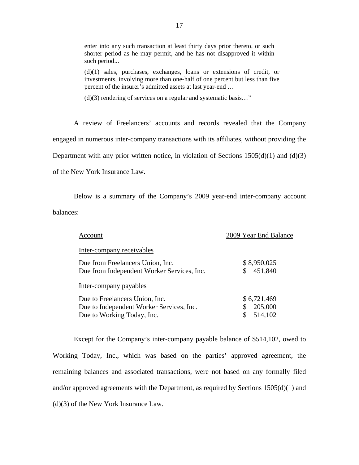enter into any such transaction at least thirty days prior thereto, or such shorter period as he may permit, and he has not disapproved it within such period...

(d)(1) sales, purchases, exchanges, loans or extensions of credit, or investments, involving more than one-half of one percent but less than five percent of the insurer's admitted assets at last year-end …

(d)(3) rendering of services on a regular and systematic basis…"

A review of Freelancers' accounts and records revealed that the Company engaged in numerous inter-company transactions with its affiliates, without providing the Department with any prior written notice, in violation of Sections  $1505(d)(1)$  and  $(d)(3)$ of the New York Insurance Law.

Below is a summary of the Company's 2009 year-end inter-company account balances:

| Account                                    | 2009 Year End Balance |
|--------------------------------------------|-----------------------|
| Inter-company receivables                  |                       |
| Due from Freelancers Union, Inc.           | \$8,950,025           |
| Due from Independent Worker Services, Inc. | 451,840<br>S          |
| Inter-company payables                     |                       |
| Due to Freelancers Union, Inc.             | \$6,721,469           |
| Due to Independent Worker Services, Inc.   | 205,000<br>S          |
| Due to Working Today, Inc.                 | 514,102               |

Except for the Company's inter-company payable balance of \$514,102, owed to Working Today, Inc., which was based on the parties' approved agreement, the remaining balances and associated transactions, were not based on any formally filed and/or approved agreements with the Department, as required by Sections 1505(d)(1) and (d)(3) of the New York Insurance Law.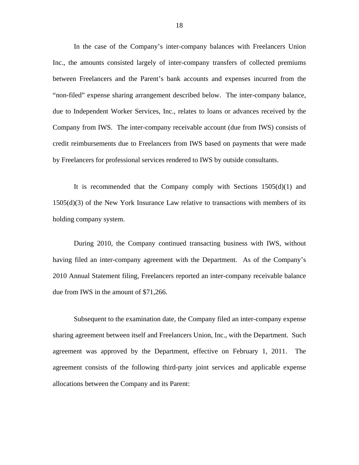In the case of the Company's inter-company balances with Freelancers Union Inc., the amounts consisted largely of inter-company transfers of collected premiums between Freelancers and the Parent's bank accounts and expenses incurred from the "non-filed" expense sharing arrangement described below. The inter-company balance, due to Independent Worker Services, Inc., relates to loans or advances received by the Company from IWS. The inter-company receivable account (due from IWS) consists of credit reimbursements due to Freelancers from IWS based on payments that were made by Freelancers for professional services rendered to IWS by outside consultants.

It is recommended that the Company comply with Sections  $1505(d)(1)$  and 1505(d)(3) of the New York Insurance Law relative to transactions with members of its holding company system.

During 2010, the Company continued transacting business with IWS, without having filed an inter-company agreement with the Department. As of the Company's 2010 Annual Statement filing, Freelancers reported an inter-company receivable balance due from IWS in the amount of \$71,266.

Subsequent to the examination date, the Company filed an inter-company expense sharing agreement between itself and Freelancers Union, Inc., with the Department. Such agreement was approved by the Department, effective on February 1, 2011. The agreement consists of the following third-party joint services and applicable expense allocations between the Company and its Parent: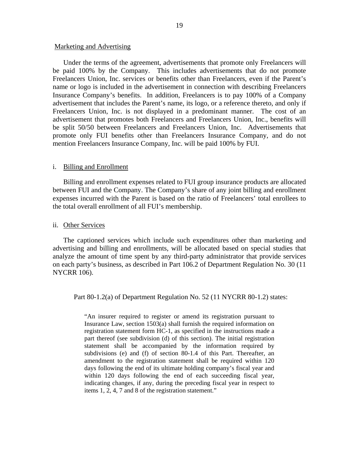#### Marketing and Advertising

Under the terms of the agreement, advertisements that promote only Freelancers will be paid 100% by the Company. This includes advertisements that do not promote Freelancers Union, Inc. services or benefits other than Freelancers, even if the Parent's name or logo is included in the advertisement in connection with describing Freelancers Insurance Company's benefits. In addition, Freelancers is to pay 100% of a Company advertisement that includes the Parent's name, its logo, or a reference thereto, and only if Freelancers Union, Inc. is not displayed in a predominant manner. The cost of an advertisement that promotes both Freelancers and Freelancers Union, Inc., benefits will be split 50/50 between Freelancers and Freelancers Union, Inc. Advertisements that promote only FUI benefits other than Freelancers Insurance Company, and do not mention Freelancers Insurance Company, Inc. will be paid 100% by FUI.

#### i. Billing and Enrollment

Billing and enrollment expenses related to FUI group insurance products are allocated between FUI and the Company. The Company's share of any joint billing and enrollment expenses incurred with the Parent is based on the ratio of Freelancers' total enrollees to the total overall enrollment of all FUI's membership.

#### ii. Other Services

The captioned services which include such expenditures other than marketing and advertising and billing and enrollments, will be allocated based on special studies that analyze the amount of time spent by any third-party administrator that provide services on each party's business, as described in Part 106.2 of Department Regulation No. 30 (11 NYCRR 106).

Part 80-1.2(a) of Department Regulation No. 52 (11 NYCRR 80-1.2) states:

"An insurer required to register or amend its registration pursuant to Insurance Law, section 1503(a) shall furnish the required information on registration statement form HC-1, as specified in the instructions made a part thereof (see subdivision (d) of this section). The initial registration statement shall be accompanied by the information required by subdivisions (e) and (f) of section 80-1.4 of this Part. Thereafter, an amendment to the registration statement shall be required within 120 days following the end of its ultimate holding company's fiscal year and within 120 days following the end of each succeeding fiscal year, indicating changes, if any, during the preceding fiscal year in respect to items 1, 2, 4, 7 and 8 of the registration statement."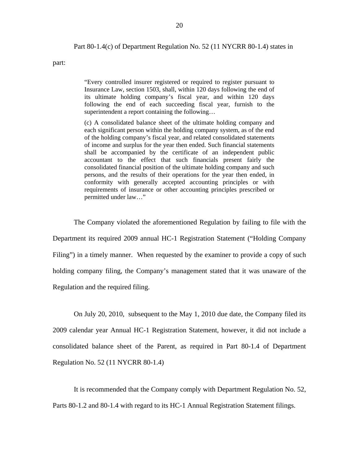#### Part 80-1.4(c) of Department Regulation No. 52 (11 NYCRR 80-1.4) states in

part:

"Every controlled insurer registered or required to register pursuant to Insurance Law, section 1503, shall, within 120 days following the end of its ultimate holding company's fiscal year, and within 120 days following the end of each succeeding fiscal year, furnish to the superintendent a report containing the following…

(c) A consolidated balance sheet of the ultimate holding company and each significant person within the holding company system, as of the end of the holding company's fiscal year, and related consolidated statements of income and surplus for the year then ended. Such financial statements shall be accompanied by the certificate of an independent public accountant to the effect that such financials present fairly the consolidated financial position of the ultimate holding company and such persons, and the results of their operations for the year then ended, in conformity with generally accepted accounting principles or with requirements of insurance or other accounting principles prescribed or permitted under law…"

The Company violated the aforementioned Regulation by failing to file with the Department its required 2009 annual HC-1 Registration Statement ("Holding Company Filing") in a timely manner. When requested by the examiner to provide a copy of such holding company filing, the Company's management stated that it was unaware of the Regulation and the required filing.

On July 20, 2010, subsequent to the May 1, 2010 due date, the Company filed its 2009 calendar year Annual HC-1 Registration Statement, however, it did not include a consolidated balance sheet of the Parent, as required in Part 80-1.4 of Department Regulation No. 52 (11 NYCRR 80-1.4)

It is recommended that the Company comply with Department Regulation No. 52, Parts 80-1.2 and 80-1.4 with regard to its HC-1 Annual Registration Statement filings.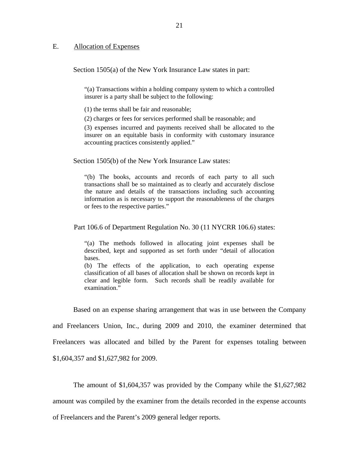#### <span id="page-22-0"></span>E. Allocation of Expenses

Section 1505(a) of the New York Insurance Law states in part:

"(a) Transactions within a holding company system to which a controlled insurer is a party shall be subject to the following:

(1) the terms shall be fair and reasonable;

(2) charges or fees for services performed shall be reasonable; and

(3) expenses incurred and payments received shall be allocated to the insurer on an equitable basis in conformity with customary insurance accounting practices consistently applied."

Section 1505(b) of the New York Insurance Law states:

"(b) The books, accounts and records of each party to all such transactions shall be so maintained as to clearly and accurately disclose the nature and details of the transactions including such accounting information as is necessary to support the reasonableness of the charges or fees to the respective parties."

Part 106.6 of Department Regulation No. 30 (11 NYCRR 106.6) states:

"(a) The methods followed in allocating joint expenses shall be described, kept and supported as set forth under "detail of allocation bases.

(b) The effects of the application, to each operating expense classification of all bases of allocation shall be shown on records kept in clear and legible form. Such records shall be readily available for examination."

Based on an expense sharing arrangement that was in use between the Company

and Freelancers Union, Inc., during 2009 and 2010, the examiner determined that Freelancers was allocated and billed by the Parent for expenses totaling between \$1,604,357 and \$1,627,982 for 2009.

The amount of \$1,604,357 was provided by the Company while the \$1,627,982 amount was compiled by the examiner from the details recorded in the expense accounts of Freelancers and the Parent's 2009 general ledger reports.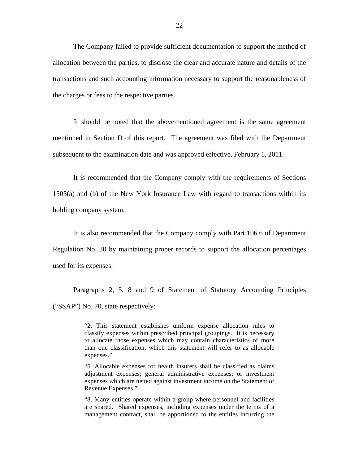The Company failed to provide sufficient documentation to support the method of allocation between the parties, to disclose the clear and accurate nature and details of the transactions and such accounting information necessary to support the reasonableness of the charges or fees to the respective parties

It should be noted that the abovementioned agreement is the same agreement mentioned in Section D of this report. The agreement was filed with the Department subsequent to the examination date and was approved effective, February 1, 2011.

It is recommended that the Company comply with the requirements of Sections 1505(a) and (b) of the New York Insurance Law with regard to transactions within its holding company system.

It is also recommended that the Company comply with Part 106.6 of Department Regulation No. 30 by maintaining proper records to support the allocation percentages used for its expenses.

Paragraphs 2, 5, 8 and 9 of Statement of Statutory Accounting Principles ("SSAP") No. 70, state respectively:

> "2. This statement establishes uniform expense allocation rules to classify expenses within prescribed principal groupings. It is necessary to allocate those expenses which may contain characteristics of more than one classification, which this statement will refer to as allocable expenses."

> "5. Allocable expenses for health insurers shall be classified as claims adjustment expenses; general administrative expenses; or investment expenses which are netted against investment income on the Statement of Revenue Expenses."

> "8. Many entities operate within a group where personnel and facilities are shared. Shared expenses, including expenses under the terms of a management contract, shall be apportioned to the entities incurring the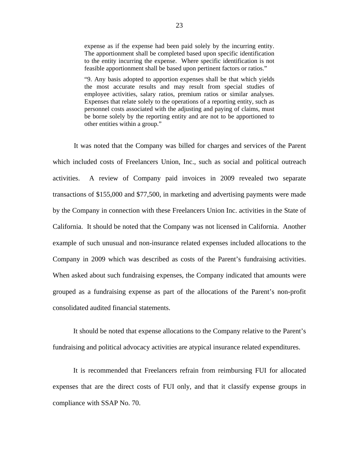expense as if the expense had been paid solely by the incurring entity. The apportionment shall be completed based upon specific identification to the entity incurring the expense. Where specific identification is not feasible apportionment shall be based upon pertinent factors or ratios."

 the most accurate results and may result from special studies of "9. Any basis adopted to apportion expenses shall be that which yields employee activities, salary ratios, premium ratios or similar analyses. Expenses that relate solely to the operations of a reporting entity, such as personnel costs associated with the adjusting and paying of claims, must be borne solely by the reporting entity and are not to be apportioned to other entities within a group."

It was noted that the Company was billed for charges and services of the Parent which included costs of Freelancers Union, Inc., such as social and political outreach activities. A review of Company paid invoices in 2009 revealed two separate transactions of \$155,000 and \$77,500, in marketing and advertising payments were made by the Company in connection with these Freelancers Union Inc. activities in the State of California. It should be noted that the Company was not licensed in California. Another example of such unusual and non-insurance related expenses included allocations to the Company in 2009 which was described as costs of the Parent's fundraising activities. When asked about such fundraising expenses, the Company indicated that amounts were grouped as a fundraising expense as part of the allocations of the Parent's non-profit consolidated audited financial statements.

It should be noted that expense allocations to the Company relative to the Parent's fundraising and political advocacy activities are atypical insurance related expenditures.

It is recommended that Freelancers refrain from reimbursing FUI for allocated expenses that are the direct costs of FUI only, and that it classify expense groups in compliance with SSAP No. 70.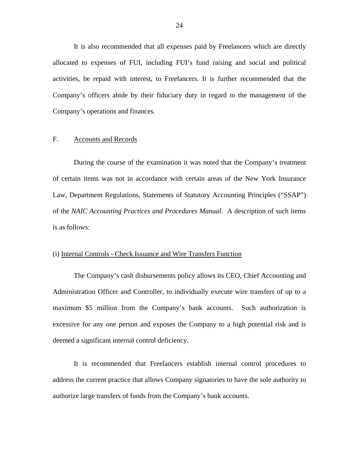<span id="page-25-0"></span>It is also recommended that all expenses paid by Freelancers which are directly allocated to expenses of FUI, including FUI's fund raising and social and political activities, be repaid with interest, to Freelancers. It is further recommended that the Company's officers abide by their fiduciary duty in regard to the management of the Company's operations and finances.

#### F. Accounts and Records

During the course of the examination it was noted that the Company's treatment of certain items was not in accordance with certain areas of the New York Insurance Law, Department Regulations, Statements of Statutory Accounting Principles ("SSAP") of the *NAIC Accounting Practices and Procedures Manual*. A description of such items is as follows:

#### (i) Internal Controls - Check Issuance and Wire Transfers Function

The Company's cash disbursements policy allows its CEO, Chief Accounting and Administration Officer and Controller, to individually execute wire transfers of up to a maximum \$5 million from the Company's bank accounts. Such authorization is excessive for any one person and exposes the Company to a high potential risk and is deemed a significant internal control deficiency.

It is recommended that Freelancers establish internal control procedures to address the current practice that allows Company signatories to have the sole authority to authorize large transfers of funds from the Company's bank accounts.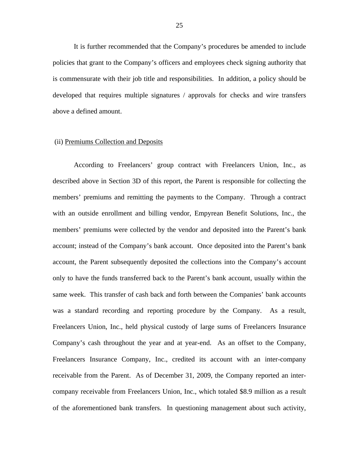It is further recommended that the Company's procedures be amended to include policies that grant to the Company's officers and employees check signing authority that is commensurate with their job title and responsibilities. In addition, a policy should be developed that requires multiple signatures / approvals for checks and wire transfers above a defined amount.

#### (ii) Premiums Collection and Deposits

According to Freelancers' group contract with Freelancers Union, Inc., as described above in Section 3D of this report, the Parent is responsible for collecting the members' premiums and remitting the payments to the Company. Through a contract with an outside enrollment and billing vendor, Empyrean Benefit Solutions, Inc., the members' premiums were collected by the vendor and deposited into the Parent's bank account; instead of the Company's bank account. Once deposited into the Parent's bank account, the Parent subsequently deposited the collections into the Company's account only to have the funds transferred back to the Parent's bank account, usually within the same week. This transfer of cash back and forth between the Companies' bank accounts was a standard recording and reporting procedure by the Company. As a result, Freelancers Union, Inc., held physical custody of large sums of Freelancers Insurance Company's cash throughout the year and at year-end. As an offset to the Company, Freelancers Insurance Company, Inc., credited its account with an inter-company receivable from the Parent. As of December 31, 2009, the Company reported an intercompany receivable from Freelancers Union, Inc., which totaled \$8.9 million as a result of the aforementioned bank transfers. In questioning management about such activity,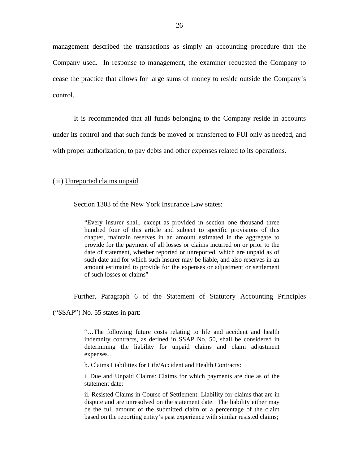management described the transactions as simply an accounting procedure that the Company used. In response to management, the examiner requested the Company to cease the practice that allows for large sums of money to reside outside the Company's control.

It is recommended that all funds belonging to the Company reside in accounts

under its control and that such funds be moved or transferred to FUI only as needed, and

with proper authorization, to pay debts and other expenses related to its operations.

#### (iii) Unreported claims unpaid

Section 1303 of the New York Insurance Law states:

"Every insurer shall, except as provided in section one thousand three hundred four of this article and subject to specific provisions of this chapter, maintain reserves in an amount estimated in the aggregate to provide for the payment of all losses or claims incurred on or prior to the date of statement, whether reported or unreported, which are unpaid as of such date and for which such insurer may be liable, and also reserves in an amount estimated to provide for the expenses or adjustment or settlement of such losses or claims"

Further, Paragraph 6 of the Statement of Statutory Accounting Principles

("SSAP") No. 55 states in part:

"…The following future costs relating to life and accident and health indemnity contracts, as defined in SSAP No. 50, shall be considered in determining the liability for unpaid claims and claim adjustment expenses…

b. Claims Liabilities for Life/Accident and Health Contracts:

i. Due and Unpaid Claims: Claims for which payments are due as of the statement date;

ii. Resisted Claims in Course of Settlement: Liability for claims that are in dispute and are unresolved on the statement date. The liability either may be the full amount of the submitted claim or a percentage of the claim based on the reporting entity's past experience with similar resisted claims;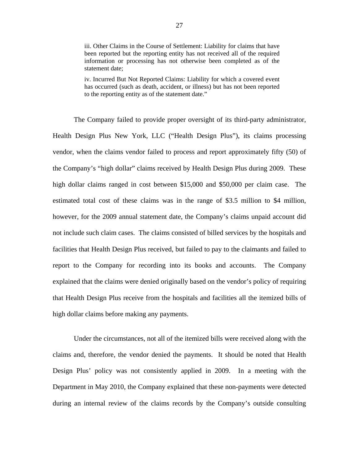iii. Other Claims in the Course of Settlement: Liability for claims that have been reported but the reporting entity has not received all of the required information or processing has not otherwise been completed as of the statement date;

iv. Incurred But Not Reported Claims: Liability for which a covered event has occurred (such as death, accident, or illness) but has not been reported to the reporting entity as of the statement date."

The Company failed to provide proper oversight of its third-party administrator, Health Design Plus New York, LLC ("Health Design Plus"), its claims processing vendor, when the claims vendor failed to process and report approximately fifty (50) of the Company's "high dollar" claims received by Health Design Plus during 2009. These high dollar claims ranged in cost between \$15,000 and \$50,000 per claim case. The estimated total cost of these claims was in the range of \$3.5 million to \$4 million, however, for the 2009 annual statement date, the Company's claims unpaid account did not include such claim cases. The claims consisted of billed services by the hospitals and facilities that Health Design Plus received, but failed to pay to the claimants and failed to report to the Company for recording into its books and accounts. The Company explained that the claims were denied originally based on the vendor's policy of requiring that Health Design Plus receive from the hospitals and facilities all the itemized bills of high dollar claims before making any payments.

Under the circumstances, not all of the itemized bills were received along with the claims and, therefore, the vendor denied the payments. It should be noted that Health Design Plus' policy was not consistently applied in 2009. In a meeting with the Department in May 2010, the Company explained that these non-payments were detected during an internal review of the claims records by the Company's outside consulting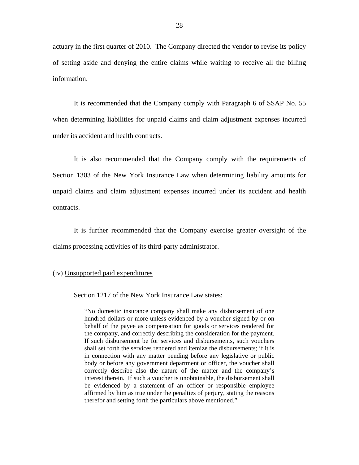actuary in the first quarter of 2010. The Company directed the vendor to revise its policy of setting aside and denying the entire claims while waiting to receive all the billing information.

It is recommended that the Company comply with Paragraph 6 of SSAP No. 55 when determining liabilities for unpaid claims and claim adjustment expenses incurred under its accident and health contracts.

It is also recommended that the Company comply with the requirements of Section 1303 of the New York Insurance Law when determining liability amounts for unpaid claims and claim adjustment expenses incurred under its accident and health contracts.

It is further recommended that the Company exercise greater oversight of the claims processing activities of its third-party administrator.

#### (iv) Unsupported paid expenditures

Section 1217 of the New York Insurance Law states:

"No domestic insurance company shall make any disbursement of one hundred dollars or more unless evidenced by a voucher signed by or on behalf of the payee as compensation for goods or services rendered for the company, and correctly describing the consideration for the payment. If such disbursement be for services and disbursements, such vouchers shall set forth the services rendered and itemize the disbursements; if it is in connection with any matter pending before any legislative or public body or before any government department or officer, the voucher shall correctly describe also the nature of the matter and the company's interest therein. If such a voucher is unobtainable, the disbursement shall be evidenced by a statement of an officer or responsible employee affirmed by him as true under the penalties of perjury, stating the reasons therefor and setting forth the particulars above mentioned."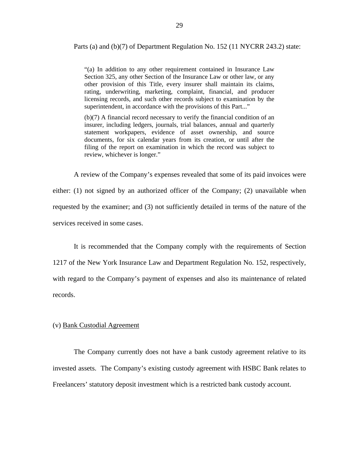Parts (a) and (b)(7) of Department Regulation No. 152 (11 NYCRR 243.2) state:

"(a) In addition to any other requirement contained in Insurance Law Section 325, any other Section of the Insurance Law or other law, or any other provision of this Title, every insurer shall maintain its claims, rating, underwriting, marketing, complaint, financial, and producer licensing records, and such other records subject to examination by the superintendent, in accordance with the provisions of this Part..."

(b)(7) A financial record necessary to verify the financial condition of an insurer, including ledgers, journals, trial balances, annual and quarterly statement workpapers, evidence of asset ownership, and source documents, for six calendar years from its creation, or until after the filing of the report on examination in which the record was subject to review, whichever is longer."

A review of the Company's expenses revealed that some of its paid invoices were either: (1) not signed by an authorized officer of the Company; (2) unavailable when requested by the examiner; and (3) not sufficiently detailed in terms of the nature of the services received in some cases.

It is recommended that the Company comply with the requirements of Section 1217 of the New York Insurance Law and Department Regulation No. 152, respectively, with regard to the Company's payment of expenses and also its maintenance of related records.

#### (v) Bank Custodial Agreement

The Company currently does not have a bank custody agreement relative to its invested assets. The Company's existing custody agreement with HSBC Bank relates to Freelancers' statutory deposit investment which is a restricted bank custody account.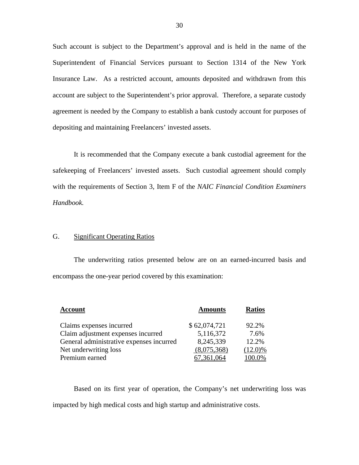Such account is subject to the Department's approval and is held in the name of the Superintendent of Financial Services pursuant to Section 1314 of the New York Insurance Law. As a restricted account, amounts deposited and withdrawn from this account are subject to the Superintendent's prior approval. Therefore, a separate custody agreement is needed by the Company to establish a bank custody account for purposes of depositing and maintaining Freelancers' invested assets.

It is recommended that the Company execute a bank custodial agreement for the safekeeping of Freelancers' invested assets. Such custodial agreement should comply with the requirements of Section 3, Item F of the *NAIC Financial Condition Examiners Handbook.* 

## G. Significant Operating Ratios

The underwriting ratios presented below are on an earned-incurred basis and encompass the one-year period covered by this examination:

| <b>Account</b>                           | <b>Amounts</b> | <b>Ratios</b> |
|------------------------------------------|----------------|---------------|
| Claims expenses incurred                 | \$62,074,721   | 92.2%         |
| Claim adjustment expenses incurred       | 5,116,372      | 7.6%          |
| General administrative expenses incurred | 8,245,339      | 12.2%         |
| Net underwriting loss                    | (8,075,368)    | $(12.0)\%$    |
| Premium earned                           | 7.361.064      | 100.0%        |

Based on its first year of operation, the Company's net underwriting loss was impacted by high medical costs and high startup and administrative costs.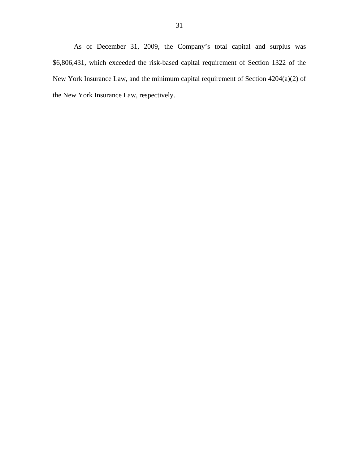As of December 31, 2009, the Company's total capital and surplus was \$6,806,431, which exceeded the risk-based capital requirement of Section 1322 of the New York Insurance Law, and the minimum capital requirement of Section 4204(a)(2) of the New York Insurance Law, respectively.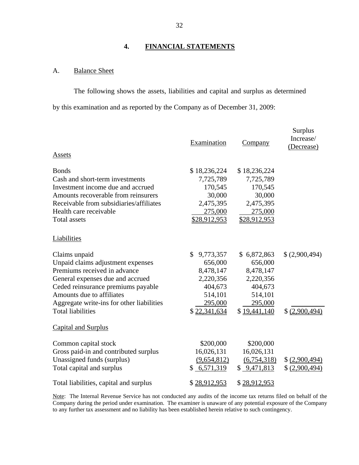## **4. FINANCIAL STATEMENTS**

## A. Balance Sheet

The following shows the assets, liabilities and capital and surplus as determined by this examination and as reported by the Company as of December 31, 2009:

| Assets                                    | Examination     | Company      | Surplus<br>Increase/<br>(Decrease) |
|-------------------------------------------|-----------------|--------------|------------------------------------|
| <b>Bonds</b>                              | \$18,236,224    | \$18,236,224 |                                    |
| Cash and short-term investments           | 7,725,789       | 7,725,789    |                                    |
| Investment income due and accrued         | 170,545         | 170,545      |                                    |
| Amounts recoverable from reinsurers       | 30,000          | 30,000       |                                    |
| Receivable from subsidiaries/affiliates   | 2,475,395       | 2,475,395    |                                    |
| Health care receivable                    | 275,000         | 275,000      |                                    |
| <b>Total assets</b>                       | \$28,912,953    | \$28,912,953 |                                    |
| Liabilities                               |                 |              |                                    |
| Claims unpaid                             | \$<br>9,773,357 | \$6,872,863  | \$(2,900,494)                      |
| Unpaid claims adjustment expenses         | 656,000         | 656,000      |                                    |
| Premiums received in advance              | 8,478,147       | 8,478,147    |                                    |
| General expenses due and accrued          | 2,220,356       | 2,220,356    |                                    |
| Ceded reinsurance premiums payable        | 404,673         | 404,673      |                                    |
| Amounts due to affiliates                 | 514,101         | 514,101      |                                    |
| Aggregate write-ins for other liabilities | 295,000         | 295,000      |                                    |
| <b>Total liabilities</b>                  | \$22,341,634    | \$19,441,140 | \$ (2,900,494)                     |
| Capital and Surplus                       |                 |              |                                    |
| Common capital stock                      | \$200,000       | \$200,000    |                                    |
| Gross paid-in and contributed surplus     | 16,026,131      | 16,026,131   |                                    |
| Unassigned funds (surplus)                | (9,654,812)     | (6,754,318)  | \$(2,900,494)                      |
| Total capital and surplus                 | \$6,571,319     | \$9,471,813  | \$ (2,900,494)                     |
| Total liabilities, capital and surplus    | \$28,912,953    | \$28,912,953 |                                    |

 to any further tax assessment and no liability has been established herein relative to such contingency. Note: The Internal Revenue Service has not conducted any audits of the income tax returns filed on behalf of the Company during the period under examination. The examiner is unaware of any potential exposure of the Company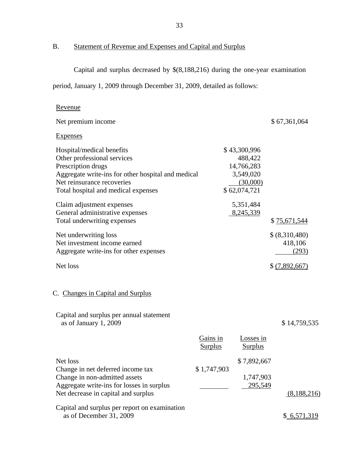B. Statement of Revenue and Expenses and Capital and Surplus

Revenue

Capital and surplus decreased by \$(8,188,216) during the one-year examination

period, January 1, 2009 through December 31, 2009, detailed as follows:

| Net premium income                                                                                                                                                                                        |                            |                                                                                | \$67,361,064                      |
|-----------------------------------------------------------------------------------------------------------------------------------------------------------------------------------------------------------|----------------------------|--------------------------------------------------------------------------------|-----------------------------------|
| <b>Expenses</b>                                                                                                                                                                                           |                            |                                                                                |                                   |
| Hospital/medical benefits<br>Other professional services<br>Prescription drugs<br>Aggregate write-ins for other hospital and medical<br>Net reinsurance recoveries<br>Total hospital and medical expenses |                            | \$43,300,996<br>488,422<br>14,766,283<br>3,549,020<br>(30,000)<br>\$62,074,721 |                                   |
| Claim adjustment expenses<br>General administrative expenses<br>Total underwriting expenses                                                                                                               |                            | 5,351,484<br>8,245,339                                                         | \$75,671,544                      |
| Net underwriting loss<br>Net investment income earned<br>Aggregate write-ins for other expenses                                                                                                           |                            |                                                                                | \$(8,310,480)<br>418,106<br>(293) |
| Net loss                                                                                                                                                                                                  |                            |                                                                                | \$ (7,892,667)                    |
| C. Changes in Capital and Surplus                                                                                                                                                                         |                            |                                                                                |                                   |
| Capital and surplus per annual statement<br>as of January 1, 2009                                                                                                                                         |                            |                                                                                | \$14,759,535                      |
|                                                                                                                                                                                                           | Gains in<br><b>Surplus</b> | Losses in<br><b>Surplus</b>                                                    |                                   |
| Net loss<br>Change in net deferred income tax<br>Change in non-admitted assets<br>Aggregate write-ins for losses in surplus<br>Net decrease in capital and surplus                                        | \$1,747,903                | \$7,892,667<br>1,747,903<br>295,549                                            | (8,188,216)                       |
| Capital and surplus per report on examination<br>as of December 31, 2009                                                                                                                                  |                            |                                                                                | \$6,571,319                       |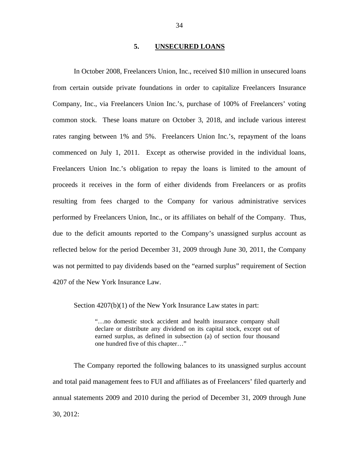#### **5. UNSECURED LOANS**

<span id="page-35-0"></span>In October 2008, Freelancers Union, Inc., received \$10 million in unsecured loans from certain outside private foundations in order to capitalize Freelancers Insurance Company, Inc., via Freelancers Union Inc.'s, purchase of 100% of Freelancers' voting common stock. These loans mature on October 3, 2018, and include various interest rates ranging between 1% and 5%. Freelancers Union Inc.'s, repayment of the loans commenced on July 1, 2011. Except as otherwise provided in the individual loans, Freelancers Union Inc.'s obligation to repay the loans is limited to the amount of proceeds it receives in the form of either dividends from Freelancers or as profits resulting from fees charged to the Company for various administrative services performed by Freelancers Union, Inc., or its affiliates on behalf of the Company. Thus, due to the deficit amounts reported to the Company's unassigned surplus account as reflected below for the period December 31, 2009 through June 30, 2011, the Company was not permitted to pay dividends based on the "earned surplus" requirement of Section 4207 of the New York Insurance Law.

Section  $4207(b)(1)$  of the New York Insurance Law states in part:

"…no domestic stock accident and health insurance company shall declare or distribute any dividend on its capital stock, except out of earned surplus, as defined in subsection (a) of section four thousand one hundred five of this chapter…"

The Company reported the following balances to its unassigned surplus account and total paid management fees to FUI and affiliates as of Freelancers' filed quarterly and annual statements 2009 and 2010 during the period of December 31, 2009 through June 30, 2012: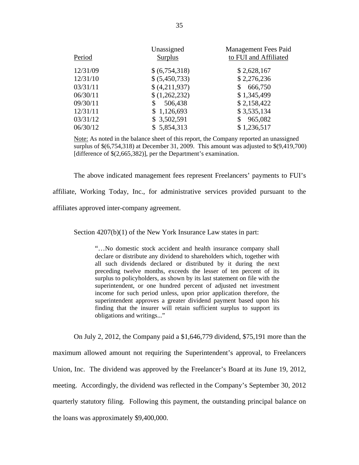|          | Unassigned     | <b>Management Fees Paid</b> |
|----------|----------------|-----------------------------|
| Period   | <b>Surplus</b> | to FUI and Affiliated       |
| 12/31/09 | \$(6,754,318)  | \$2,628,167                 |
| 12/31/10 | \$ (5,450,733) | \$2,276,236                 |
| 03/31/11 | \$ (4,211,937) | 666,750<br>\$               |
| 06/30/11 | \$(1,262,232)  | \$1,345,499                 |
| 09/30/11 | 506,438<br>\$  | \$2,158,422                 |
| 12/31/11 | \$1,126,693    | \$3,535,134                 |
| 03/31/12 | \$3,502,591    | 965,082<br>\$               |
| 06/30/12 | \$5,854,313    | \$1,236,517                 |

Note: As noted in the balance sheet of this report, the Company reported an unassigned surplus of \$(6,754,318) at December 31, 2009. This amount was adjusted to \$(9,419,700) [difference of \$(2,665,382)], per the Department's examination.

The above indicated management fees represent Freelancers' payments to FUI's

affiliate, Working Today, Inc., for administrative services provided pursuant to the affiliates approved inter-company agreement.

Section  $4207(b)(1)$  of the New York Insurance Law states in part:

"…No domestic stock accident and health insurance company shall declare or distribute any dividend to shareholders which, together with all such dividends declared or distributed by it during the next preceding twelve months, exceeds the lesser of ten percent of its surplus to policyholders, as shown by its last statement on file with the superintendent, or one hundred percent of adjusted net investment income for such period unless, upon prior application therefore, the superintendent approves a greater dividend payment based upon his finding that the insurer will retain sufficient surplus to support its obligations and writings..."

On July 2, 2012, the Company paid a \$1,646,779 dividend, \$75,191 more than the maximum allowed amount not requiring the Superintendent's approval, to Freelancers Union, Inc. The dividend was approved by the Freelancer's Board at its June 19, 2012, meeting. Accordingly, the dividend was reflected in the Company's September 30, 2012 quarterly statutory filing. Following this payment, the outstanding principal balance on the loans was approximately \$9,400,000.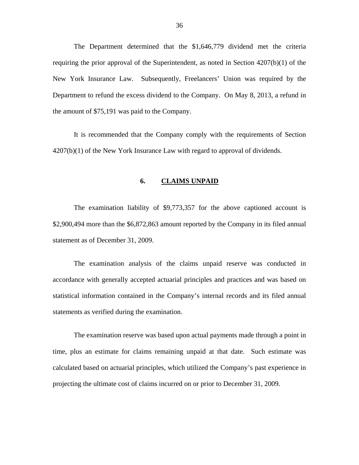<span id="page-37-0"></span>The Department determined that the \$1,646,779 dividend met the criteria requiring the prior approval of the Superintendent, as noted in Section 4207(b)(1) of the New York Insurance Law. Subsequently, Freelancers' Union was required by the Department to refund the excess dividend to the Company. On May 8, 2013, a refund in the amount of \$75,191 was paid to the Company.

It is recommended that the Company comply with the requirements of Section  $4207(b)(1)$  of the New York Insurance Law with regard to approval of dividends.

#### **6. CLAIMS UNPAID**

The examination liability of \$9,773,357 for the above captioned account is \$2,900,494 more than the \$6,872,863 amount reported by the Company in its filed annual statement as of December 31, 2009.

The examination analysis of the claims unpaid reserve was conducted in accordance with generally accepted actuarial principles and practices and was based on statistical information contained in the Company's internal records and its filed annual statements as verified during the examination.

The examination reserve was based upon actual payments made through a point in time, plus an estimate for claims remaining unpaid at that date. Such estimate was calculated based on actuarial principles, which utilized the Company's past experience in projecting the ultimate cost of claims incurred on or prior to December 31, 2009.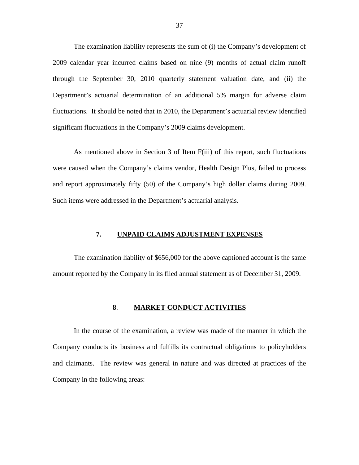<span id="page-38-0"></span>The examination liability represents the sum of (i) the Company's development of 2009 calendar year incurred claims based on nine (9) months of actual claim runoff through the September 30, 2010 quarterly statement valuation date, and (ii) the Department's actuarial determination of an additional 5% margin for adverse claim fluctuations. It should be noted that in 2010, the Department's actuarial review identified significant fluctuations in the Company's 2009 claims development.

As mentioned above in Section 3 of Item F(iii) of this report, such fluctuations were caused when the Company's claims vendor, Health Design Plus, failed to process and report approximately fifty (50) of the Company's high dollar claims during 2009. Such items were addressed in the Department's actuarial analysis.

#### **7. UNPAID CLAIMS ADJUSTMENT EXPENSES**

The examination liability of \$656,000 for the above captioned account is the same amount reported by the Company in its filed annual statement as of December 31, 2009.

### **8**. **MARKET CONDUCT ACTIVITIES**

In the course of the examination, a review was made of the manner in which the Company conducts its business and fulfills its contractual obligations to policyholders and claimants. The review was general in nature and was directed at practices of the Company in the following areas: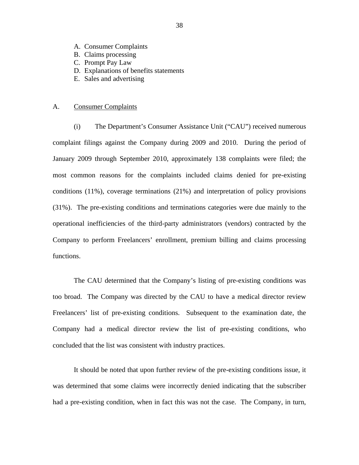- <span id="page-39-0"></span>A. Consumer Complaints
- B. Claims processing
- C. Prompt Pay Law
- D. Explanations of benefits statements
- E. Sales and advertising

#### A. Consumer Complaints

(i) The Department's Consumer Assistance Unit ("CAU") received numerous complaint filings against the Company during 2009 and 2010. During the period of January 2009 through September 2010, approximately 138 complaints were filed; the most common reasons for the complaints included claims denied for pre-existing conditions (11%), coverage terminations (21%) and interpretation of policy provisions (31%). The pre-existing conditions and terminations categories were due mainly to the operational inefficiencies of the third-party administrators (vendors) contracted by the Company to perform Freelancers' enrollment, premium billing and claims processing functions.

The CAU determined that the Company's listing of pre-existing conditions was too broad. The Company was directed by the CAU to have a medical director review Freelancers' list of pre-existing conditions. Subsequent to the examination date, the Company had a medical director review the list of pre-existing conditions, who concluded that the list was consistent with industry practices.

It should be noted that upon further review of the pre-existing conditions issue, it was determined that some claims were incorrectly denied indicating that the subscriber had a pre-existing condition, when in fact this was not the case. The Company, in turn,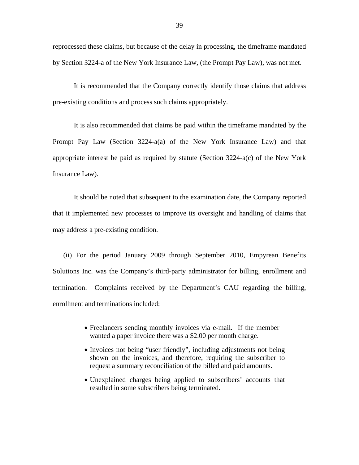reprocessed these claims, but because of the delay in processing, the timeframe mandated by Section 3224-a of the New York Insurance Law, (the Prompt Pay Law), was not met.

It is recommended that the Company correctly identify those claims that address pre-existing conditions and process such claims appropriately.

It is also recommended that claims be paid within the timeframe mandated by the Prompt Pay Law (Section 3224-a(a) of the New York Insurance Law) and that appropriate interest be paid as required by statute (Section 3224-a(c) of the New York Insurance Law).

It should be noted that subsequent to the examination date, the Company reported that it implemented new processes to improve its oversight and handling of claims that may address a pre-existing condition.

(ii) For the period January 2009 through September 2010, Empyrean Benefits Solutions Inc. was the Company's third-party administrator for billing, enrollment and termination. Complaints received by the Department's CAU regarding the billing, enrollment and terminations included:

- Freelancers sending monthly invoices via e-mail. If the member wanted a paper invoice there was a \$2.00 per month charge.
- Invoices not being "user friendly", including adjustments not being shown on the invoices, and therefore, requiring the subscriber to request a summary reconciliation of the billed and paid amounts.
- Unexplained charges being applied to subscribers' accounts that resulted in some subscribers being terminated.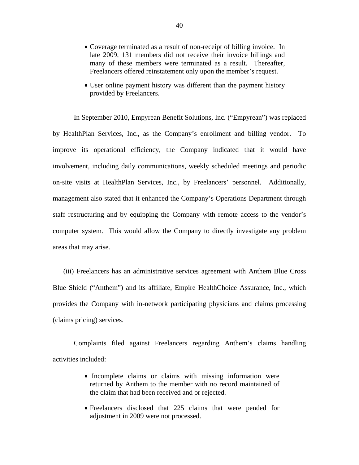- Coverage terminated as a result of non-receipt of billing invoice. In late 2009, 131 members did not receive their invoice billings and many of these members were terminated as a result. Thereafter, Freelancers offered reinstatement only upon the member's request.
- User online payment history was different than the payment history provided by Freelancers.

In September 2010, Empyrean Benefit Solutions, Inc. ("Empyrean") was replaced by HealthPlan Services, Inc., as the Company's enrollment and billing vendor. To improve its operational efficiency, the Company indicated that it would have involvement, including daily communications, weekly scheduled meetings and periodic on-site visits at HealthPlan Services, Inc., by Freelancers' personnel. Additionally, management also stated that it enhanced the Company's Operations Department through staff restructuring and by equipping the Company with remote access to the vendor's computer system. This would allow the Company to directly investigate any problem areas that may arise.

(iii) Freelancers has an administrative services agreement with Anthem Blue Cross Blue Shield ("Anthem") and its affiliate, Empire HealthChoice Assurance, Inc., which provides the Company with in-network participating physicians and claims processing (claims pricing) services.

Complaints filed against Freelancers regarding Anthem's claims handling activities included:

- Incomplete claims or claims with missing information were returned by Anthem to the member with no record maintained of the claim that had been received and or rejected.
- Freelancers disclosed that 225 claims that were pended for adjustment in 2009 were not processed.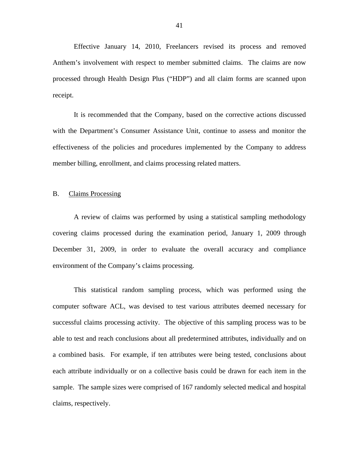<span id="page-42-0"></span>Effective January 14, 2010, Freelancers revised its process and removed Anthem's involvement with respect to member submitted claims. The claims are now processed through Health Design Plus ("HDP") and all claim forms are scanned upon receipt.

It is recommended that the Company, based on the corrective actions discussed with the Department's Consumer Assistance Unit, continue to assess and monitor the effectiveness of the policies and procedures implemented by the Company to address member billing, enrollment, and claims processing related matters.

#### B. Claims Processing

A review of claims was performed by using a statistical sampling methodology covering claims processed during the examination period, January 1, 2009 through December 31, 2009, in order to evaluate the overall accuracy and compliance environment of the Company's claims processing.

This statistical random sampling process, which was performed using the computer software ACL, was devised to test various attributes deemed necessary for successful claims processing activity. The objective of this sampling process was to be able to test and reach conclusions about all predetermined attributes, individually and on a combined basis. For example, if ten attributes were being tested, conclusions about each attribute individually or on a collective basis could be drawn for each item in the sample. The sample sizes were comprised of 167 randomly selected medical and hospital claims, respectively.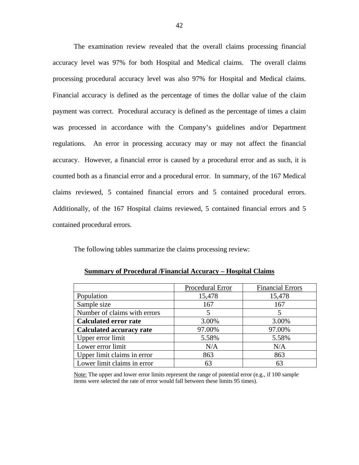The examination review revealed that the overall claims processing financial accuracy level was 97% for both Hospital and Medical claims. The overall claims processing procedural accuracy level was also 97% for Hospital and Medical claims. Financial accuracy is defined as the percentage of times the dollar value of the claim payment was correct. Procedural accuracy is defined as the percentage of times a claim was processed in accordance with the Company's guidelines and/or Department regulations. An error in processing accuracy may or may not affect the financial accuracy. However, a financial error is caused by a procedural error and as such, it is counted both as a financial error and a procedural error. In summary, of the 167 Medical claims reviewed, 5 contained financial errors and 5 contained procedural errors. Additionally, of the 167 Hospital claims reviewed, 5 contained financial errors and 5 contained procedural errors.

The following tables summarize the claims processing review:

|                                 | Procedural Error | <b>Financial Errors</b> |
|---------------------------------|------------------|-------------------------|
| Population                      | 15,478           | 15,478                  |
| Sample size                     | 167              | 167                     |
| Number of claims with errors    | 5                | 5                       |
| <b>Calculated error rate</b>    | 3.00%            | 3.00%                   |
| <b>Calculated accuracy rate</b> | 97.00%           | 97.00%                  |
| Upper error limit               | 5.58%            | 5.58%                   |
| Lower error limit               | N/A              | N/A                     |
| Upper limit claims in error     | 863              | 863                     |
| Lower limit claims in error     | 63               | 63                      |

Note: The upper and lower error limits represent the range of potential error (e.g., if 100 sample items were selected the rate of error would fall between these limits 95 times).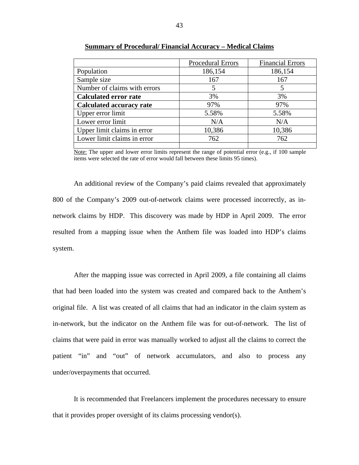|                                 | Procedural Errors | <b>Financial Errors</b> |
|---------------------------------|-------------------|-------------------------|
| Population                      | 186,154           | 186,154                 |
| Sample size                     | 167               | 167                     |
| Number of claims with errors    |                   |                         |
| <b>Calculated error rate</b>    | 3%                | 3%                      |
| <b>Calculated accuracy rate</b> | 97%               | 97%                     |
| Upper error limit               | 5.58%             | 5.58%                   |
| Lower error limit               | N/A               | N/A                     |
| Upper limit claims in error     | 10,386            | 10,386                  |
| Lower limit claims in error     | 762               | 762                     |
|                                 |                   |                         |

**Summary of Procedural/ Financial Accuracy – Medical Claims** 

Note: The upper and lower error limits represent the range of potential error (e.g., if 100 sample items were selected the rate of error would fall between these limits 95 times).

An additional review of the Company's paid claims revealed that approximately 800 of the Company's 2009 out-of-network claims were processed incorrectly, as innetwork claims by HDP. This discovery was made by HDP in April 2009. The error resulted from a mapping issue when the Anthem file was loaded into HDP's claims system.

After the mapping issue was corrected in April 2009, a file containing all claims that had been loaded into the system was created and compared back to the Anthem's original file. A list was created of all claims that had an indicator in the claim system as in-network, but the indicator on the Anthem file was for out-of-network. The list of claims that were paid in error was manually worked to adjust all the claims to correct the patient "in" and "out" of network accumulators, and also to process any under/overpayments that occurred.

It is recommended that Freelancers implement the procedures necessary to ensure that it provides proper oversight of its claims processing vendor(s).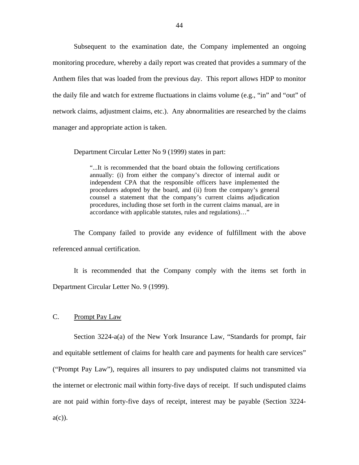<span id="page-45-0"></span>Subsequent to the examination date, the Company implemented an ongoing monitoring procedure, whereby a daily report was created that provides a summary of the Anthem files that was loaded from the previous day. This report allows HDP to monitor the daily file and watch for extreme fluctuations in claims volume (e.g., "in" and "out" of network claims, adjustment claims, etc.). Any abnormalities are researched by the claims manager and appropriate action is taken.

Department Circular Letter No 9 (1999) states in part:

"...It is recommended that the board obtain the following certifications annually: (i) from either the company's director of internal audit or independent CPA that the responsible officers have implemented the procedures adopted by the board, and (ii) from the company's general counsel a statement that the company's current claims adjudication procedures, including those set forth in the current claims manual, are in accordance with applicable statutes, rules and regulations)…"

The Company failed to provide any evidence of fulfillment with the above referenced annual certification.

It is recommended that the Company comply with the items set forth in Department Circular Letter No. 9 (1999).

## C. Prompt Pay Law

Section 3224-a(a) of the New York Insurance Law, "Standards for prompt, fair and equitable settlement of claims for health care and payments for health care services" ("Prompt Pay Law"), requires all insurers to pay undisputed claims not transmitted via the internet or electronic mail within forty-five days of receipt. If such undisputed claims are not paid within forty-five days of receipt, interest may be payable (Section 3224  $a(c)$ ).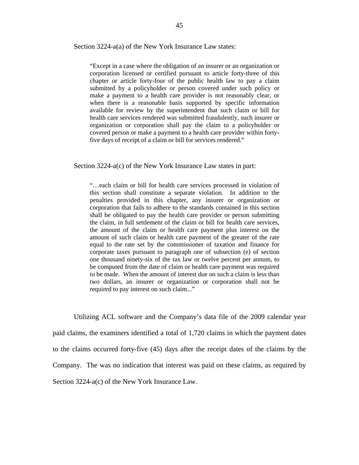Section 3224-a(a) of the New York Insurance Law states:

"Except in a case where the obligation of an insurer or an organization or corporation licensed or certified pursuant to article forty-three of this chapter or article forty-four of the public health law to pay a claim submitted by a policyholder or person covered under such policy or make a payment to a health care provider is not reasonably clear, or when there is a reasonable basis supported by specific information available for review by the superintendent that such claim or bill for health care services rendered was submitted fraudulently, such insurer or organization or corporation shall pay the claim to a policyholder or covered person or make a payment to a health care provider within fortyfive days of receipt of a claim or bill for services rendered."

Section 3224-a(c) of the New York Insurance Law states in part:

"…each claim or bill for health care services processed in violation of this section shall constitute a separate violation. In addition to the penalties provided in this chapter, any insurer or organization or corporation that fails to adhere to the standards contained in this section shall be obligated to pay the health care provider or person submitting the claim, in full settlement of the claim or bill for health care services, the amount of the claim or health care payment plus interest on the amount of such claim or health care payment of the greater of the rate equal to the rate set by the commissioner of taxation and finance for corporate taxes pursuant to paragraph one of subsection (e) of section one thousand ninety-six of the tax law or twelve percent per annum, to be computed from the date of claim or health care payment was required to be made. When the amount of interest due on such a claim is less than two dollars, an insurer or organization or corporation shall not be required to pay interest on such claim..."

Utilizing ACL software and the Company's data file of the 2009 calendar year paid claims, the examiners identified a total of 1,720 claims in which the payment dates to the claims occurred forty-five (45) days after the receipt dates of the claims by the Company. The was no indication that interest was paid on these claims, as required by Section 3224-a(c) of the New York Insurance Law.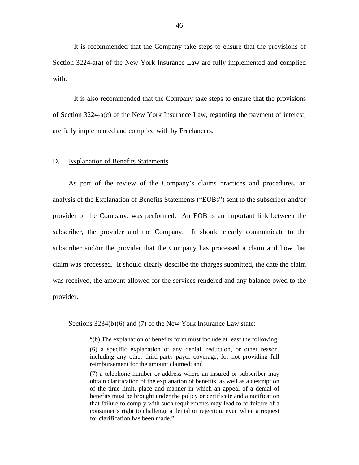<span id="page-47-0"></span>It is recommended that the Company take steps to ensure that the provisions of Section 3224-a(a) of the New York Insurance Law are fully implemented and complied with.

It is also recommended that the Company take steps to ensure that the provisions of Section 3224-a(c) of the New York Insurance Law, regarding the payment of interest, are fully implemented and complied with by Freelancers.

#### D. Explanation of Benefits Statements

As part of the review of the Company's claims practices and procedures, an analysis of the Explanation of Benefits Statements ("EOBs") sent to the subscriber and/or provider of the Company, was performed. An EOB is an important link between the subscriber, the provider and the Company. It should clearly communicate to the subscriber and/or the provider that the Company has processed a claim and how that claim was processed. It should clearly describe the charges submitted, the date the claim was received, the amount allowed for the services rendered and any balance owed to the provider.

Sections 3234(b)(6) and (7) of the New York Insurance Law state:

"(b) The explanation of benefits form must include at least the following:

(7) a telephone number or address where an insured or subscriber may obtain clarification of the explanation of benefits, as well as a description of the time limit, place and manner in which an appeal of a denial of benefits must be brought under the policy or certificate and a notification that failure to comply with such requirements may lead to forfeiture of a consumer's right to challenge a denial or rejection, even when a request for clarification has been made."

<sup>(6)</sup> a specific explanation of any denial, reduction, or other reason, including any other third-party payor coverage, for not providing full reimbursement for the amount claimed; and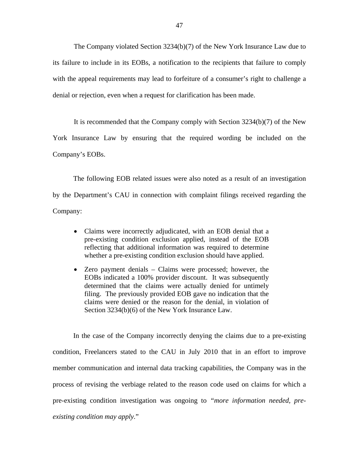The Company violated Section 3234(b)(7) of the New York Insurance Law due to its failure to include in its EOBs, a notification to the recipients that failure to comply with the appeal requirements may lead to forfeiture of a consumer's right to challenge a denial or rejection, even when a request for clarification has been made.

It is recommended that the Company comply with Section 3234(b)(7) of the New York Insurance Law by ensuring that the required wording be included on the Company's EOBs.

The following EOB related issues were also noted as a result of an investigation by the Department's CAU in connection with complaint filings received regarding the Company:

- Claims were incorrectly adjudicated, with an EOB denial that a pre-existing condition exclusion applied, instead of the EOB reflecting that additional information was required to determine whether a pre-existing condition exclusion should have applied.
- Zero payment denials Claims were processed; however, the EOBs indicated a 100% provider discount. It was subsequently determined that the claims were actually denied for untimely filing. The previously provided EOB gave no indication that the claims were denied or the reason for the denial, in violation of Section 3234(b)(6) of the New York Insurance Law.

In the case of the Company incorrectly denying the claims due to a pre-existing condition, Freelancers stated to the CAU in July 2010 that in an effort to improve member communication and internal data tracking capabilities, the Company was in the process of revising the verbiage related to the reason code used on claims for which a pre-existing condition investigation was ongoing to *"more information needed, preexisting condition may apply.*"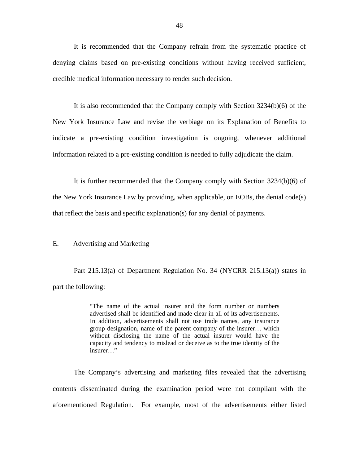<span id="page-49-0"></span>It is recommended that the Company refrain from the systematic practice of denying claims based on pre-existing conditions without having received sufficient, credible medical information necessary to render such decision.

It is also recommended that the Company comply with Section 3234(b)(6) of the New York Insurance Law and revise the verbiage on its Explanation of Benefits to indicate a pre-existing condition investigation is ongoing, whenever additional information related to a pre-existing condition is needed to fully adjudicate the claim.

It is further recommended that the Company comply with Section 3234(b)(6) of the New York Insurance Law by providing, when applicable, on EOBs, the denial code(s) that reflect the basis and specific explanation(s) for any denial of payments.

#### E. Advertising and Marketing

Part 215.13(a) of Department Regulation No. 34 (NYCRR 215.13(a)) states in part the following:

> "The name of the actual insurer and the form number or numbers advertised shall be identified and made clear in all of its advertisements. In addition, advertisements shall not use trade names, any insurance group designation, name of the parent company of the insurer… which without disclosing the name of the actual insurer would have the capacity and tendency to mislead or deceive as to the true identity of the insurer…"

The Company's advertising and marketing files revealed that the advertising contents disseminated during the examination period were not compliant with the aforementioned Regulation. For example, most of the advertisements either listed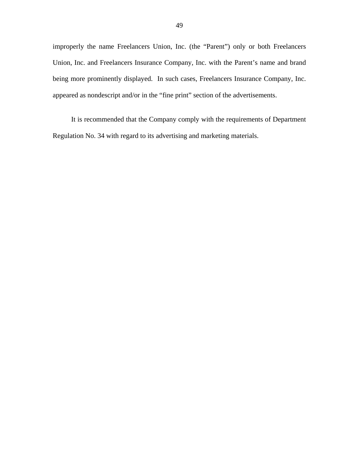improperly the name Freelancers Union, Inc. (the "Parent") only or both Freelancers Union, Inc. and Freelancers Insurance Company, Inc. with the Parent's name and brand being more prominently displayed. In such cases, Freelancers Insurance Company, Inc. appeared as nondescript and/or in the "fine print" section of the advertisements.

It is recommended that the Company comply with the requirements of Department Regulation No. 34 with regard to its advertising and marketing materials.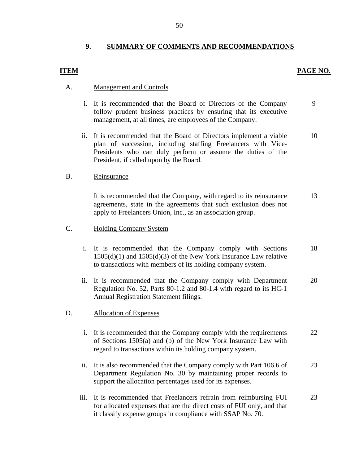## **9. SUMMARY OF COMMENTS AND RECOMMENDATIONS**

## **PAGE NO.**

## **ITEM**

### A. Management and Controls

- i. It is recommended that the Board of Directors of the Company follow prudent business practices by ensuring that its executive management, at all times, are employees of the Company. 9
- ii. It is recommended that the Board of Directors implement a viable plan of succession, including staffing Freelancers with Vice-Presidents who can duly perform or assume the duties of the President, if called upon by the Board. 10

### B. Reinsurance

It is recommended that the Company, with regard to its reinsurance agreements, state in the agreements that such exclusion does not apply to Freelancers Union, Inc., as an association group. 13

#### C. Holding Company System

- i. It is recommended that the Company comply with Sections 1505(d)(1) and 1505(d)(3) of the New York Insurance Law relative to transactions with members of its holding company system. 18
- ii. It is recommended that the Company comply with Department Regulation No. 52, Parts 80-1.2 and 80-1.4 with regard to its HC-1 Annual Registration Statement filings. 20

#### D. Allocation of Expenses

- i. It is recommended that the Company comply with the requirements of Sections 1505(a) and (b) of the New York Insurance Law with regard to transactions within its holding company system. 22
- ii. It is also recommended that the Company comply with Part 106.6 of Department Regulation No. 30 by maintaining proper records to support the allocation percentages used for its expenses. 23
- iii. It is recommended that Freelancers refrain from reimbursing FUI for allocated expenses that are the direct costs of FUI only, and that it classify expense groups in compliance with SSAP No. 70. 23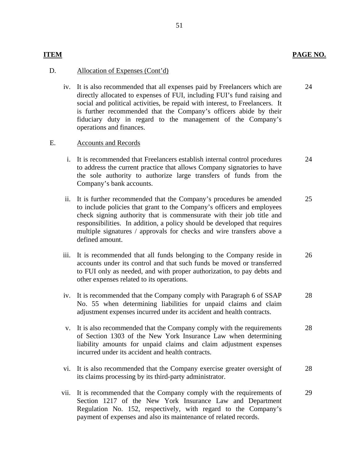## **ITEM PAGE NO.**

24

### D. Allocation of Expenses (Cont'd)

iv. It is also recommended that all expenses paid by Freelancers which are directly allocated to expenses of FUI, including FUI's fund raising and social and political activities, be repaid with interest, to Freelancers. It is further recommended that the Company's officers abide by their fiduciary duty in regard to the management of the Company's operations and finances.

#### E. Accounts and Records

- i. It is recommended that Freelancers establish internal control procedures to address the current practice that allows Company signatories to have the sole authority to authorize large transfers of funds from the Company's bank accounts. 24
- ii. It is further recommended that the Company's procedures be amended to include policies that grant to the Company's officers and employees check signing authority that is commensurate with their job title and responsibilities. In addition, a policy should be developed that requires multiple signatures / approvals for checks and wire transfers above a defined amount. 25
- iii. It is recommended that all funds belonging to the Company reside in accounts under its control and that such funds be moved or transferred to FUI only as needed, and with proper authorization, to pay debts and other expenses related to its operations. 26
- iv. It is recommended that the Company comply with Paragraph 6 of SSAP No. 55 when determining liabilities for unpaid claims and claim adjustment expenses incurred under its accident and health contracts. 28
- v. It is also recommended that the Company comply with the requirements of Section 1303 of the New York Insurance Law when determining liability amounts for unpaid claims and claim adjustment expenses incurred under its accident and health contracts. 28
- vi. It is also recommended that the Company exercise greater oversight of its claims processing by its third-party administrator. 28
- vii. It is recommended that the Company comply with the requirements of Section 1217 of the New York Insurance Law and Department Regulation No. 152, respectively, with regard to the Company's payment of expenses and also its maintenance of related records. 29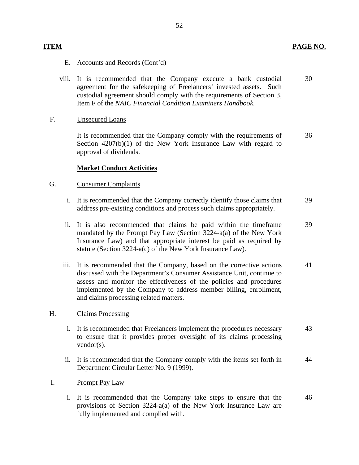## **ITEM** PAGE NO.

## E. Accounts and Records (Cont'd)

viii. It is recommended that the Company execute a bank custodial agreement for the safekeeping of Freelancers' invested assets. Such custodial agreement should comply with the requirements of Section 3, Item F of the *NAIC Financial Condition Examiners Handbook.*  30

## F. Unsecured Loans

It is recommended that the Company comply with the requirements of Section  $4207(b)(1)$  of the New York Insurance Law with regard to approval of dividends. 36

### **Market Conduct Activities**

### G. Consumer Complaints

- i. It is recommended that the Company correctly identify those claims that address pre-existing conditions and process such claims appropriately. 39
- ii. It is also recommended that claims be paid within the timeframe mandated by the Prompt Pay Law (Section 3224-a(a) of the New York Insurance Law) and that appropriate interest be paid as required by statute (Section 3224-a(c) of the New York Insurance Law). 39
- iii. It is recommended that the Company, based on the corrective actions discussed with the Department's Consumer Assistance Unit, continue to assess and monitor the effectiveness of the policies and procedures implemented by the Company to address member billing, enrollment, and claims processing related matters. 41

#### H. Claims Processing

- i. It is recommended that Freelancers implement the procedures necessary to ensure that it provides proper oversight of its claims processing vendor(s). 43
- ii. It is recommended that the Company comply with the items set forth in Department Circular Letter No. 9 (1999). 44
- I. Prompt Pay Law
	- i. It is recommended that the Company take steps to ensure that the provisions of Section 3224-a(a) of the New York Insurance Law are fully implemented and complied with. 46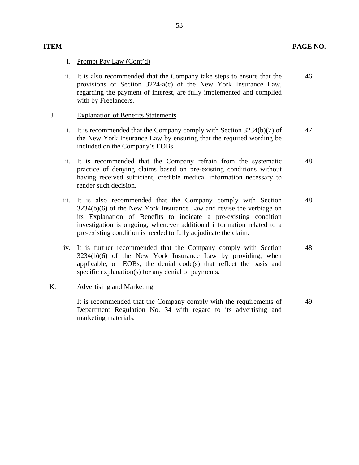## I. Prompt Pay Law (Cont'd)

ii. It is also recommended that the Company take steps to ensure that the provisions of Section 3224-a(c) of the New York Insurance Law, regarding the payment of interest, are fully implemented and complied with by Freelancers. 46

## J. Explanation of Benefits Statements

- i. It is recommended that the Company comply with Section 3234(b)(7) of the New York Insurance Law by ensuring that the required wording be included on the Company's EOBs. 47
- ii. It is recommended that the Company refrain from the systematic practice of denying claims based on pre-existing conditions without having received sufficient, credible medical information necessary to render such decision. 48
- iii. It is also recommended that the Company comply with Section 3234(b)(6) of the New York Insurance Law and revise the verbiage on its Explanation of Benefits to indicate a pre-existing condition investigation is ongoing, whenever additional information related to a pre-existing condition is needed to fully adjudicate the claim. 48
- iv. It is further recommended that the Company comply with Section 3234(b)(6) of the New York Insurance Law by providing, when applicable, on EOBs, the denial code(s) that reflect the basis and specific explanation(s) for any denial of payments. 48

## K. Advertising and Marketing

It is recommended that the Company comply with the requirements of Department Regulation No. 34 with regard to its advertising and marketing materials. 49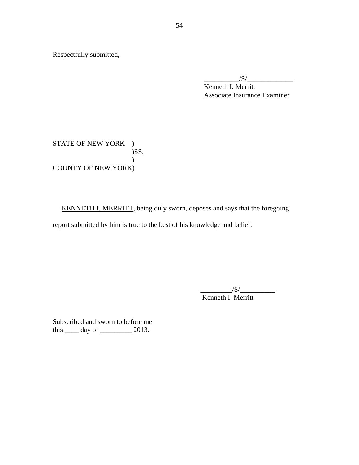Respectfully submitted,

 $\frac{1}{S}$ Kenneth I. Merritt Associate Insurance Examiner

STATE OF NEW YORK ) )SS.  $\lambda$ COUNTY OF NEW YORK)

KENNETH I. MERRITT, being duly sworn, deposes and says that the foregoing report submitted by him is true to the best of his knowledge and belief.

> $\frac{|S|}{|S|}$ Kenneth I. Merritt

Subscribed and sworn to before me this \_\_\_\_\_ day of \_\_\_\_\_\_\_\_\_ 2013.